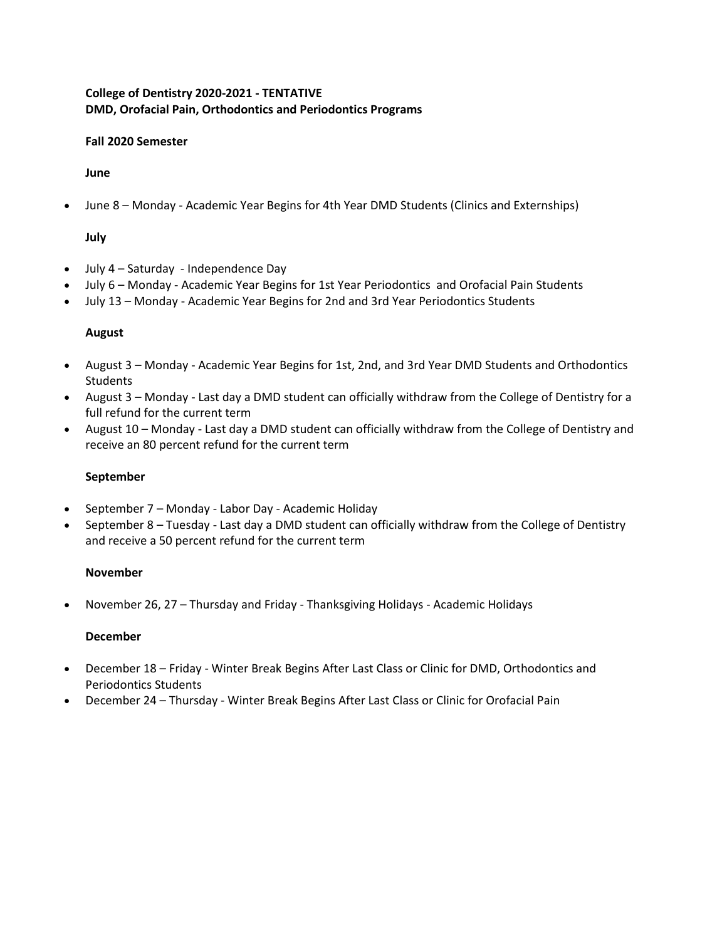## **College of Dentistry 2020-2021 - TENTATIVE DMD, Orofacial Pain, Orthodontics and Periodontics Programs**

#### **Fall 2020 Semester**

#### **June**

• June 8 – Monday - Academic Year Begins for 4th Year DMD Students (Clinics and Externships)

## **July**

- July 4 Saturday Independence Day
- July 6 Monday Academic Year Begins for 1st Year Periodontics and Orofacial Pain Students
- July 13 Monday Academic Year Begins for 2nd and 3rd Year Periodontics Students

#### **August**

- August 3 Monday Academic Year Begins for 1st, 2nd, and 3rd Year DMD Students and Orthodontics Students
- August 3 Monday Last day a DMD student can officially withdraw from the College of Dentistry for a full refund for the current term
- August 10 Monday Last day a DMD student can officially withdraw from the College of Dentistry and receive an 80 percent refund for the current term

#### **September**

- September 7 Monday Labor Day Academic Holiday
- September 8 Tuesday Last day a DMD student can officially withdraw from the College of Dentistry and receive a 50 percent refund for the current term

#### **November**

• November 26, 27 – Thursday and Friday - Thanksgiving Holidays - Academic Holidays

#### **December**

- December 18 Friday Winter Break Begins After Last Class or Clinic for DMD, Orthodontics and Periodontics Students
- December 24 Thursday Winter Break Begins After Last Class or Clinic for Orofacial Pain